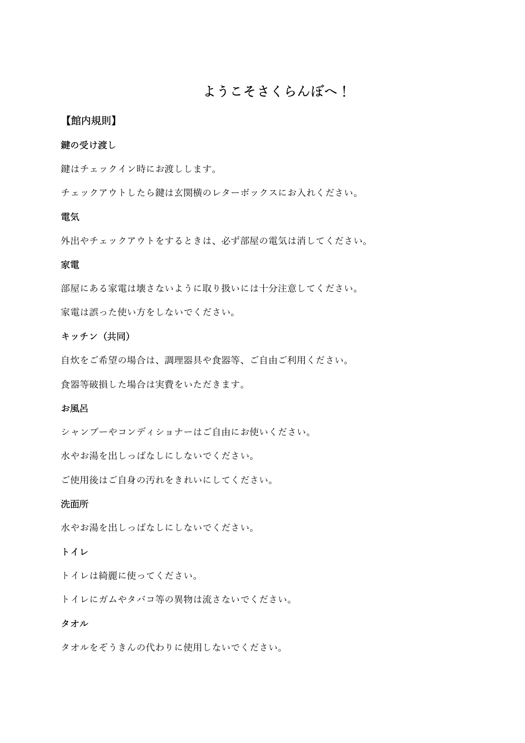## ようこそさくらんぼへ!

#### 【館内規則】

#### 鍵の受け渡し

鍵はチェックイン時にお渡しします。

チェックアウトしたら鍵は玄関横のレターボックスにお入れください。

#### 電気

外出やチェックアウトをするときは、必ず部屋の電気は消してください。

#### 家電

部屋にある家電は壊さないように取り扱いには十分注意してください。 家電は誤った使い方をしないでください。

#### キッチン(共同)

自炊をご希望の場合は、調理器具や食器等、ご自由ご利用ください。 食器等破損した場合は実費をいただきます。

#### お風呂

シャンプーやコンディショナーはご自由にお使いください。

水やお湯を出しっぱなしにしないでください。

ご使用後はご自身の汚れをきれいにしてください。

#### 洗面所

水やお湯を出しっぱなしにしないでください。

#### トイレ

トイレは綺麗に使ってください。

トイレにガムやタバコ等の異物は流さないでください。

#### タオル

タオルをぞうきんの代わりに使用しないでください。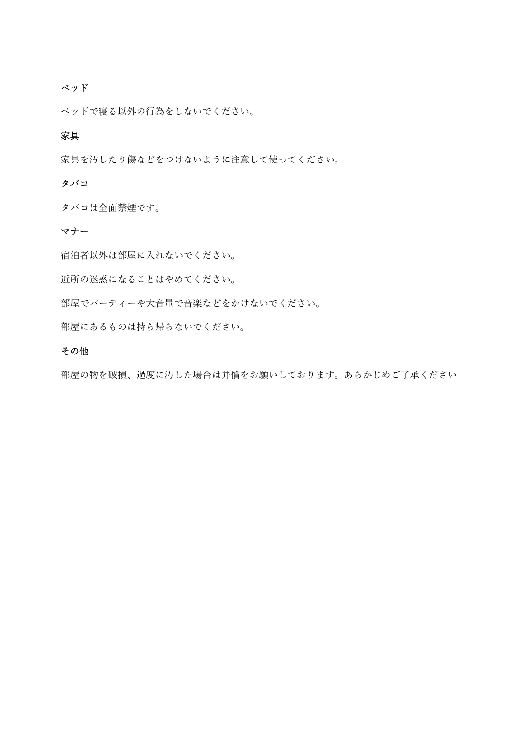#### ベッド

ベッドで寝る以外の行為をしないでください。

#### 家具

家具を汚したり傷などをつけないように注意して使ってください。

#### タバコ

タバコは全面禁煙です。

#### マナー

宿泊者以外は部屋に入れないでください。

近所の迷惑になることはやめてください。

部屋でパーティーや大音量で音楽などをかけないでください。

部屋にあるものは持ち帰らないでください。

#### その他

部屋の物を破損、過度に汚した場合は弁償をお願いしております。あらかじめご了承ください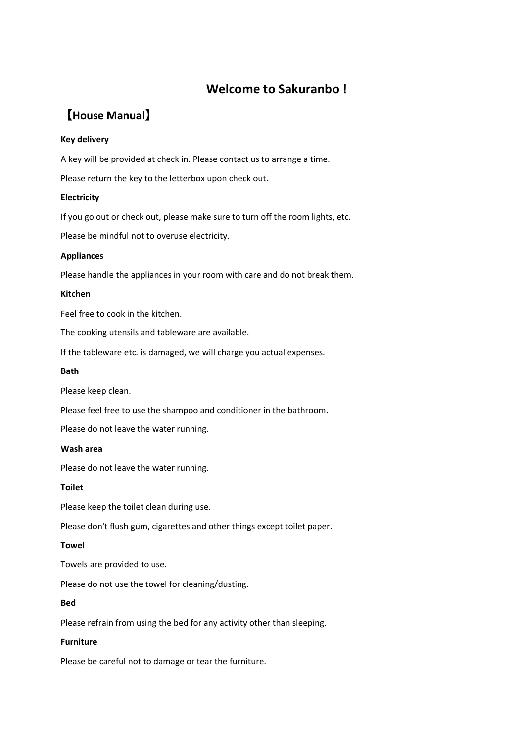## Welcome to Sakuranbo !

# 【House Manual】

#### Key delivery

A key will be provided at check in. Please contact us to arrange a time.

Please return the key to the letterbox upon check out.

#### Electricity

If you go out or check out, please make sure to turn off the room lights, etc.

Please be mindful not to overuse electricity.

#### Appliances

Please handle the appliances in your room with care and do not break them.

#### Kitchen

Feel free to cook in the kitchen.

The cooking utensils and tableware are available.

If the tableware etc. is damaged, we will charge you actual expenses.

#### Bath

Please keep clean.

Please feel free to use the shampoo and conditioner in the bathroom.

Please do not leave the water running.

#### Wash area

Please do not leave the water running.

#### Toilet

Please keep the toilet clean during use.

Please don't flush gum, cigarettes and other things except toilet paper.

#### Towel

Towels are provided to use.

Please do not use the towel for cleaning/dusting.

#### Bed

Please refrain from using the bed for any activity other than sleeping.

#### Furniture

Please be careful not to damage or tear the furniture.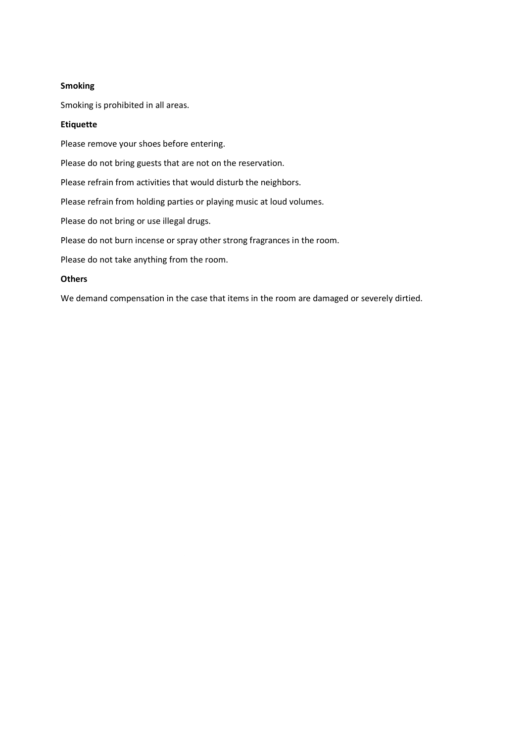#### Smoking

Smoking is prohibited in all areas.

#### Etiquette

Please remove your shoes before entering.

Please do not bring guests that are not on the reservation.

Please refrain from activities that would disturb the neighbors.

Please refrain from holding parties or playing music at loud volumes.

Please do not bring or use illegal drugs.

Please do not burn incense or spray other strong fragrances in the room.

Please do not take anything from the room.

#### **Others**

We demand compensation in the case that items in the room are damaged or severely dirtied.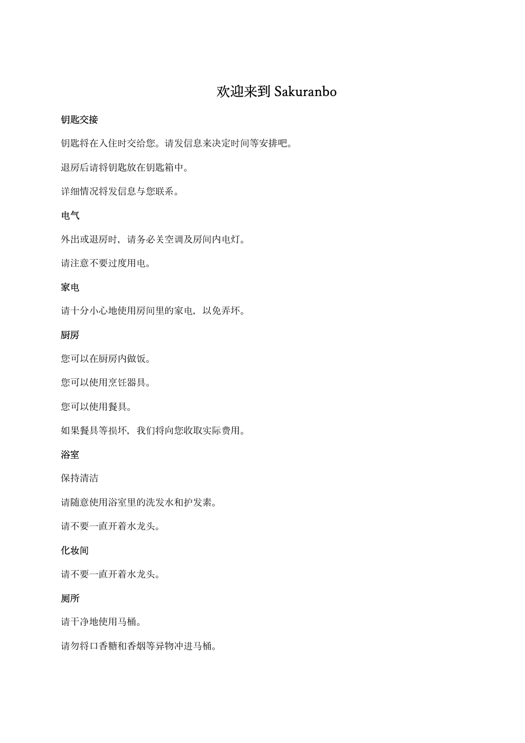# 欢迎来到 Sakuranbo

#### 钥匙交接

钥匙将在入住时交给您。请发信息来决定时间等安排吧。

退房后请将钥匙放在钥匙箱中。

详细情况将发信息与您联系。

## 电气

外出或退房时,请务必关空调及房间内电灯。 请注意不要过度用电。

## 家电

请十分小心地使用房间里的家电,以免弄坏。

### 厨房

您可以在厨房内做饭。

您可以使用烹饪器具。

您可以使用餐具。

如果餐具等损坏,我们将向您收取实际费用。

#### 浴室

保持清洁

请随意使用浴室里的洗发水和护发素。

请不要一直开着水龙头。

#### 化妆间

请不要一直开着水龙头。

## 厕所

请干净地使用马桶。

请勿将口香糖和香烟等异物冲进马桶。